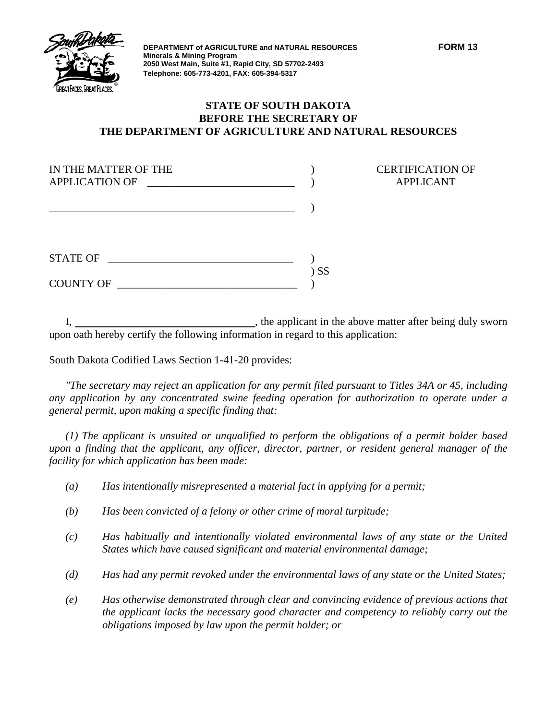

**DEPARTMENT of AGRICULTURE and NATURAL RESOURCES FORM 13 Minerals & Mining Program 2050 West Main, Suite #1, Rapid City, SD 57702-2493 Telephone: 605-773-4201, FAX: 605-394-5317**

**CERTIFICATION OF** APPLICANT

## **STATE OF SOUTH DAKOTA BEFORE THE SECRETARY OF THE DEPARTMENT OF AGRICULTURE AND NATURAL RESOURCES**

| IN THE MATTER OF THE<br><b>APPLICATION OF</b> |    |
|-----------------------------------------------|----|
|                                               |    |
| <b>STATE OF</b>                               |    |
| <b>COUNTY OF</b>                              | SS |

I, the applicant in the above matter after being duly sworn upon oath hereby certify the following information in regard to this application:

South Dakota Codified Laws Section 1-41-20 provides:

*"The secretary may reject an application for any permit filed pursuant to Titles 34A or 45, including any application by any concentrated swine feeding operation for authorization to operate under a general permit, upon making a specific finding that:* 

*(1) The applicant is unsuited or unqualified to perform the obligations of a permit holder based upon a finding that the applicant, any officer, director, partner, or resident general manager of the facility for which application has been made:* 

- *(a) Has intentionally misrepresented a material fact in applying for a permit;*
- *(b) Has been convicted of a felony or other crime of moral turpitude;*
- *(c) Has habitually and intentionally violated environmental laws of any state or the United States which have caused significant and material environmental damage;*
- *(d) Has had any permit revoked under the environmental laws of any state or the United States;*
- *(e) Has otherwise demonstrated through clear and convincing evidence of previous actions that the applicant lacks the necessary good character and competency to reliably carry out the obligations imposed by law upon the permit holder; or*